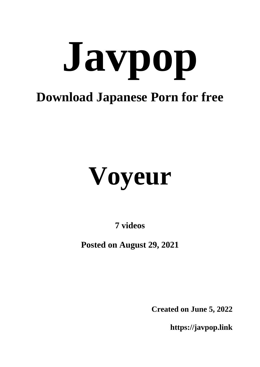



**7 videos**

**Posted on August 29, 2021**

**Created on June 5, 2022**

**<https://javpop.link>**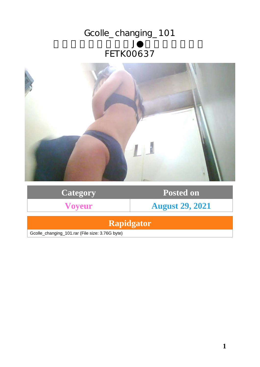### [Gcolle\\_changing\\_101](https://javpop.link/gcolle_changing_101-)  $\Gamma$ [FETK00637](https://javpop.link/gcolle_changing_101-)



**Category Posted on [Voyeur](https://javpop.link/category/voyeur) [August 29, 2021](https://javpop.link/2021/08/29)**

### **Rapidgator**

[Gcolle\\_changing\\_101.rar](https://rapidgator.net/file/bde2fa2b4fb0551fdf54fd56993dc153/Gcolle_changing_101.rar.html) (File size: 3.76G byte)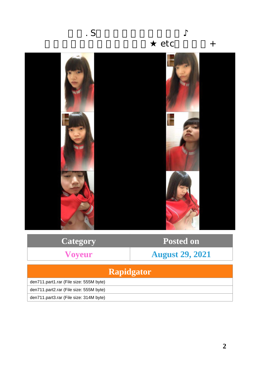

 $\overline{\mathcal{S}}$ 

## **Category Posted on**

**[Voyeur](https://javpop.link/category/voyeur) [August 29, 2021](https://javpop.link/2021/08/29)**

## **Rapidgator**

[den711.part1.rar](https://rapidgator.net/file/86c2c50a5f85811de1c55d84e807c2c2/den711.part1.rar.html) (File size: 555M byte)

[den711.part2.rar](https://rapidgator.net/file/b023dcfe739299aafa939e9ab67c46a9/den711.part2.rar.html) (File size: 555M byte)

[den711.part3.rar](https://rapidgator.net/file/f2e6cf1e4e68db4f44e4f0c00ee6bbe4/den711.part3.rar.html) (File size: 314M byte)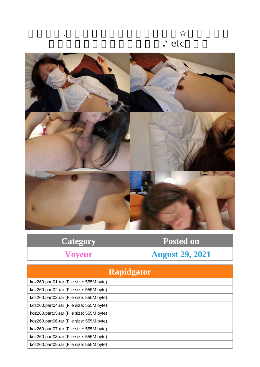

[個人撮影.清楚女子〇生初めての中出し☆色白スレン](https://javpop.link/%e5%80%8b%e4%ba%ba%e6%92%ae%e5%bd%b1_%e6%b8%85%e6%a5%9a%e5%a5%b3%e5%ad%90%e3%80%87%e7%94%9f%e5%88%9d%e3%82%81%e3%81%a6%e3%81%ae%e4%b8%ad%e5%87%ba%e3%81%97%e2%98%86%e8%89%b2)

# **Category Posted on**

## **[Voyeur](https://javpop.link/category/voyeur) [August 29, 2021](https://javpop.link/2021/08/29)**

| <b>Rapidgator</b>                        |
|------------------------------------------|
| koz260.part01.rar (File size: 555M byte) |
| koz260.part02.rar (File size: 555M byte) |
| koz260.part03.rar (File size: 555M byte) |
| koz260.part04.rar (File size: 555M byte) |
| koz260.part05.rar (File size: 555M byte) |
| koz260.part06.rar (File size: 555M byte) |
| koz260.part07.rar (File size: 555M byte) |
| koz260.part08.rar (File size: 555M byte) |
| koz260.part09.rar (File size: 555M byte) |
|                                          |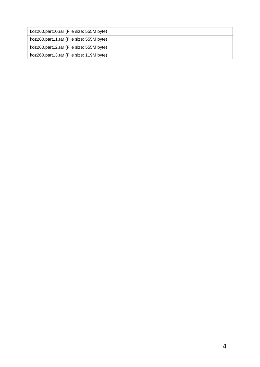| koz260.part10.rar (File size: 555M byte) |
|------------------------------------------|
| koz260.part11.rar (File size: 555M byte) |
| koz260.part12.rar (File size: 555M byte) |
| koz260.part13.rar (File size: 119M byte) |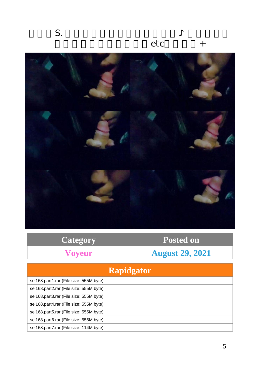etc +



# **Category Posted on**

**[Voyeur](https://javpop.link/category/voyeur) [August 29, 2021](https://javpop.link/2021/08/29)**

|                                         | Rapidgator |
|-----------------------------------------|------------|
| sei168.part1.rar (File size: 555M byte) |            |
| sei168.part2.rar (File size: 555M byte) |            |
| sei168.part3.rar (File size: 555M byte) |            |
| sei168.part4.rar (File size: 555M byte) |            |
| sei168.part5.rar (File size: 555M byte) |            |
| sei168.part6.rar (File size: 555M byte) |            |
| sei168.part7.rar (File size: 114M byte) |            |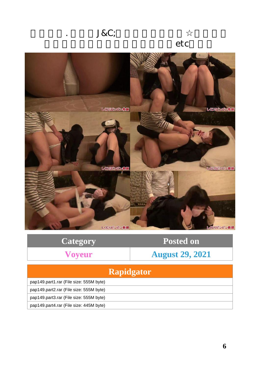$J\&C$ 



## **Category Posted on**

### **[Voyeur](https://javpop.link/category/voyeur) [August 29, 2021](https://javpop.link/2021/08/29)**

## **Rapidgator**

[pap149.part1.rar](https://rapidgator.net/file/3eda160ec36ae05c1be469de7cbd47d4/pap149.part1.rar.html) (File size: 555M byte) [pap149.part2.rar](https://rapidgator.net/file/55679c2307be973dea922acea260c862/pap149.part2.rar.html) (File size: 555M byte)

[pap149.part3.rar](https://rapidgator.net/file/ba93451db3c33a417542cb49a8df8e72/pap149.part3.rar.html) (File size: 555M byte)

[pap149.part4.rar](https://rapidgator.net/file/a457b0ac147a66db43828d637fbae4e9/pap149.part4.rar.html) (File size: 445M byte)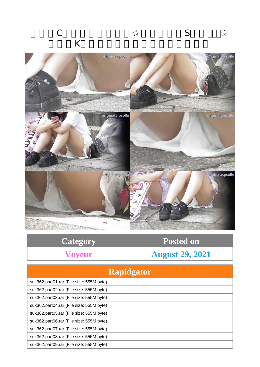



## **Category Posted on**

### **[Voyeur](https://javpop.link/category/voyeur) [August 29, 2021](https://javpop.link/2021/08/29)**

| <b>Rapidgator</b>                        |
|------------------------------------------|
| suk362.part01.rar (File size: 555M byte) |
| suk362.part02.rar (File size: 555M byte) |
| suk362.part03.rar (File size: 555M byte) |
| suk362.part04.rar (File size: 555M byte) |
| suk362.part05.rar (File size: 555M byte) |
| suk362.part06.rar (File size: 555M byte) |
| suk362.part07.rar (File size: 555M byte) |
| suk362.part08.rar (File size: 555M byte) |
| suk362.part09.rar (File size: 555M byte) |
|                                          |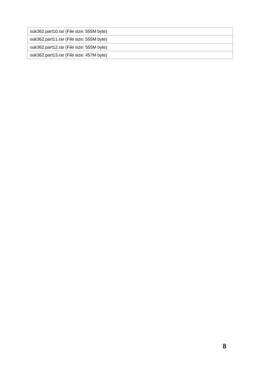| suk362.part10.rar (File size: 555M byte) |  |
|------------------------------------------|--|
| suk362.part11.rar (File size: 555M byte) |  |
| suk362.part12.rar (File size: 555M byte) |  |
| suk362.part13.rar (File size: 457M byte) |  |
|                                          |  |